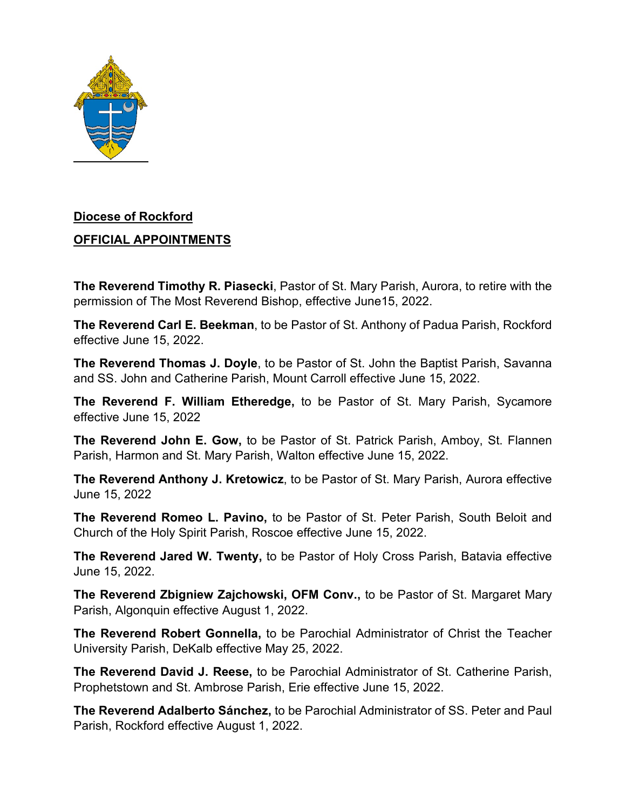

## **Diocese of Rockford**

## **OFFICIAL APPOINTMENTS**

**The Reverend Timothy R. Piasecki**, Pastor of St. Mary Parish, Aurora, to retire with the permission of The Most Reverend Bishop, effective June15, 2022.

**The Reverend Carl E. Beekman**, to be Pastor of St. Anthony of Padua Parish, Rockford effective June 15, 2022.

**The Reverend Thomas J. Doyle**, to be Pastor of St. John the Baptist Parish, Savanna and SS. John and Catherine Parish, Mount Carroll effective June 15, 2022.

**The Reverend F. William Etheredge,** to be Pastor of St. Mary Parish, Sycamore effective June 15, 2022

**The Reverend John E. Gow,** to be Pastor of St. Patrick Parish, Amboy, St. Flannen Parish, Harmon and St. Mary Parish, Walton effective June 15, 2022.

**The Reverend Anthony J. Kretowicz**, to be Pastor of St. Mary Parish, Aurora effective June 15, 2022

**The Reverend Romeo L. Pavino,** to be Pastor of St. Peter Parish, South Beloit and Church of the Holy Spirit Parish, Roscoe effective June 15, 2022.

**The Reverend Jared W. Twenty,** to be Pastor of Holy Cross Parish, Batavia effective June 15, 2022.

**The Reverend Zbigniew Zajchowski, OFM Conv.,** to be Pastor of St. Margaret Mary Parish, Algonquin effective August 1, 2022.

**The Reverend Robert Gonnella,** to be Parochial Administrator of Christ the Teacher University Parish, DeKalb effective May 25, 2022.

**The Reverend David J. Reese,** to be Parochial Administrator of St. Catherine Parish, Prophetstown and St. Ambrose Parish, Erie effective June 15, 2022.

**The Reverend Adalberto Sánchez,** to be Parochial Administrator of SS. Peter and Paul Parish, Rockford effective August 1, 2022.